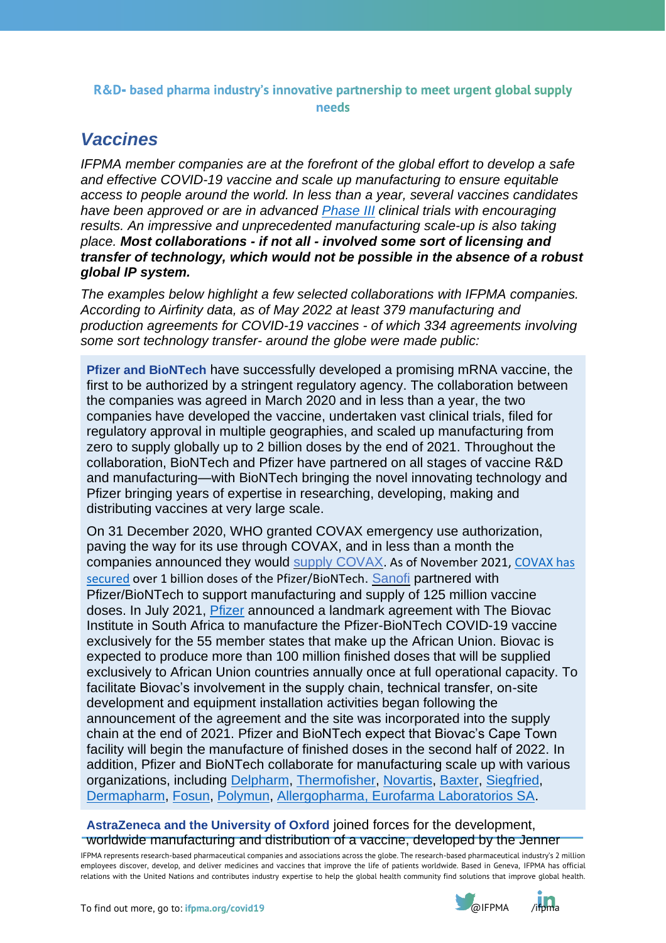## R&D- based pharma industry's innovative partnership to meet urgent global supply needs

## *Vaccines*

*IFPMA member companies are at the forefront of the global effort to develop a safe and effective COVID-19 vaccine and scale up manufacturing to ensure equitable access to people around the world. In less than a year, several vaccines candidates have been approved or are in advanced [Phase](https://www.ifpma.org/wp-content/uploads/2019/07/IFPMA-ComplexJourney-2019_FINAL.pdf) III clinical trials with encouraging results. An impressive and unprecedented manufacturing scale-up is also taking place. Most collaborations - if not all - involved some sort of licensing and transfer of technology, which would not be possible in the absence of a robust global IP system.*

*The examples below highlight a few selected collaborations with IFPMA companies. According to Airfinity data, as of May 2022 at least 379 manufacturing and production agreements for COVID-19 vaccines - of which 334 agreements involving some sort technology transfer- around the globe were made public:*

**Pfizer and BioNTech** have successfully developed a promising mRNA vaccine, the first to be authorized by a stringent regulatory agency. The collaboration between the companies was agreed in March 2020 and in less than a year, the two companies have developed the vaccine, undertaken vast clinical trials, filed for regulatory approval in multiple geographies, and scaled up manufacturing from zero to supply globally up to 2 billion doses by the end of 2021. Throughout the collaboration, BioNTech and Pfizer have partnered on all stages of vaccine R&D and manufacturing—with BioNTech bringing the novel innovating technology and Pfizer bringing years of expertise in researching, developing, making and distributing vaccines at very large scale.

On 31 December 2020, WHO granted COVAX emergency use authorization, paving the way for its use through COVAX, and in less than a month the companies announced they would supply [COVAX.](https://www.pfizer.com/news/press-release/press-release-detail/pfizer-and-biontech-reach-agreement-covax-advance-purchase) As of November 2021[, COVAX has](https://www.pfizer.com/news/press-release/press-release-detail/pfizer-and-biontech-expand-collaboration-us-provide-500)  [secured](https://www.pfizer.com/news/press-release/press-release-detail/pfizer-and-biontech-expand-collaboration-us-provide-500) over 1 billion doses of the Pfizer/BioNTech. [Sanofi](https://www.sanofi.com/en/media-room/press-releases/2021/2021-01-27-07-30-00) partnered with Pfizer/BioNTech to support manufacturing and supply of 125 million vaccine doses. In July 2021, [Pfizer](https://www.pfizer.com/news/press-release/press-release-detail/pfizer-and-biontech-announce-collaboration-biovac) announced a landmark agreement with The Biovac Institute in South Africa to manufacture the Pfizer-BioNTech COVID-19 vaccine exclusively for the 55 member states that make up the African Union. Biovac is expected to produce more than 100 million finished doses that will be supplied exclusively to African Union countries annually once at full operational capacity. To facilitate Biovac's involvement in the supply chain, technical transfer, on-site development and equipment installation activities began following the announcement of the agreement and the site was incorporated into the supply chain at the end of 2021. Pfizer and BioNTech expect that Biovac's Cape Town facility will begin the manufacture of finished doses in the second half of 2022. In addition, Pfizer and BioNTech collaborate for manufacturing scale up with various organizations, including [Delpharm,](https://www.connexionfrance.com/French-news/France-takes-first-steps-towards-mass-productions-of-Covid-vaccines-this-week) [Thermofisher,](https://www.reuters.com/article/us-health-coronavirus-italy-thermo-fishe/thermo-fisher-to-work-with-pfizer-biontech-on-vaccine-production-in-italy-idUSKBN2BH2SB) [Novartis,](https://www.novartis.com/news/media-releases/novartis-signs-initial-agreement-provide-manufacturing-capacity-pfizer-biontech-covid-19-vaccine) [Baxter,](https://www.info.gov.hk/gia/general/202107/07/P2021070700910.htm) [Siegfried,](https://www.marketscreener.com/quote/stock/SIEGFRIED-HOLDING-AG-73799/news/Siegfried-nbsp-and-BioNTech-Sign-Contract-for-the-Aseptic-Fill-Finish-of-a-COVID-19-Vaccine-31291868/) [Dermapharm,](https://www.reuters.com/article/us-health-coronavirus-germany-dermapharm-idUSKBN2A91CK) [Fosun,](https://biontechse.gcs-web.com/news-releases/news-release-details/biontech-and-fosun-pharma-potentially-supply-10-million-doses) [Polymun,](https://www.polymun.com/liposomes/reference-projects/) [Allergopharma,](https://www.reuters.com/article/brief-ema-says-chmp-approves-2-additiona-idUSFWN2O40AI) [Eurofarma Laboratorios SA.](https://www.pfizer.com/news/press-release/press-release-detail/pfizer-and-biontech-announce-collaboration-brazils)

## **[AstraZeneca](https://www.astrazeneca.com/media-centre/articles/2020/astrazeneca-and-oxford-university-announce-landmark-agreement-for-covid-19-vaccine.html) and the University of Oxford** joined forces for the development, worldwide manufacturing and distribution of a vaccine, developed by the Jenner

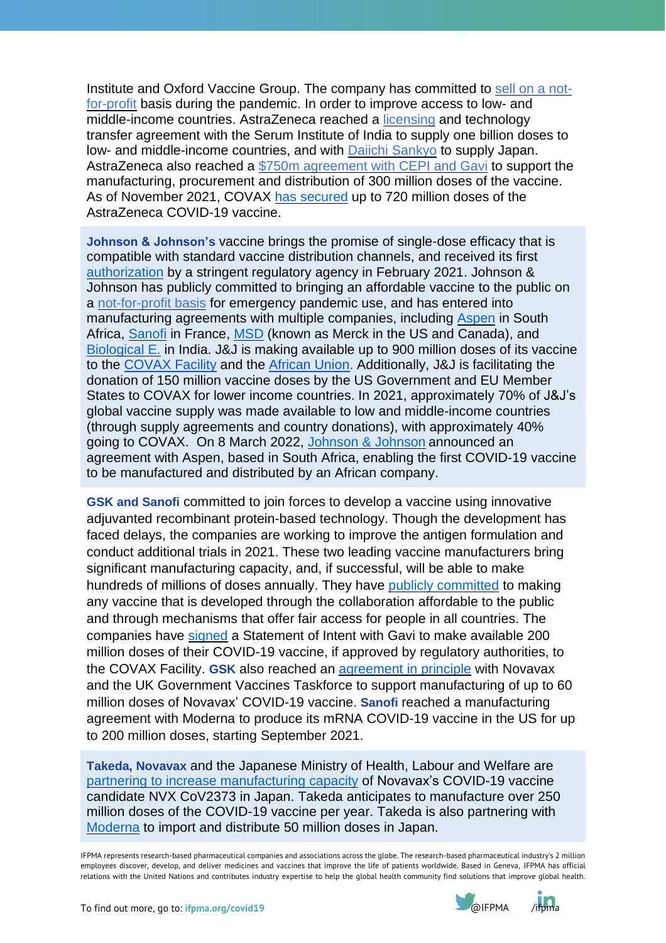Institute and Oxford Vaccine Group. The company has committed to sell on a [not](https://www.astrazeneca.com/media-centre/press-releases/2020/azd1222hlr.html)[for-profit](https://www.astrazeneca.com/media-centre/press-releases/2020/azd1222hlr.html) basis during the pandemic. In order to improve access to low- and middle-income countries. AstraZeneca reached a [licensing](https://www.astrazeneca.com/media-centre/articles/2020/astrazeneca-takes-next-steps-towards-broad-and-equitable-access-to-oxford-universitys-potential-covid-19-vaccine.html) and technology transfer agreement with the Serum Institute of India to supply one billion doses to low- and middle-income countries, and with Daiichi [Sankyo](https://www.daiichisankyo.com/files/news/pressrelease/pdf/202102/20210205_E.pdf) to supply Japan. AstraZeneca also reached a \$750m [agreement](https://www.astrazeneca.com/content/astraz/media-centre/press-releases/2020/astrazeneca-takes-next-steps-towards-broad-and-equitable-access-to-oxford-universitys-covid-19-vaccine.html) with CEPI and Gavi to support the manufacturing, procurement and distribution of 300 million doses of the vaccine. As of November 2021, COVAX has [secured](https://www.unicef.org/supply/covid-19-vaccine-market-dashboard) up to 720 million doses of the AstraZeneca COVID-19 vaccine.

**Johnson & Johnson's** vaccine brings the promise of single-dose efficacy that is compatible with standard vaccine distribution channels, and received its first [authorization](https://www.jnj.com/johnson-johnson-covid-19-vaccine-authorized-by-u-s-fda-for-emergency-usefirst-single-shot-vaccine-in-fight-against-global-pandemic) by a stringent regulatory agency in February 2021. Johnson & Johnson has publicly committed to bringing an affordable vaccine to the public on a [not-for-profit](https://www.jnj.com/johnson-johnson-initiates-pivotal-global-phase-3-clinical-trial-of-janssens-covid-19-vaccine-candidate) basis for emergency pandemic use, and has entered into manufacturing agreements with multiple companies, including [Aspen](https://www.aspenpharma.com/2020/11/02/aspen-announces-agreement-with-johnson-johnson-to-manufacture-investigational-covid-19-vaccine-candidate/) in South Africa, [Sanofi](https://www.sanofi.com/en/media-room/press-releases/2021/2021-02-22-11-40-00-2179318) in France, [MSD](https://www.jnj.com/johnson-johnson-statement-on-collaboration-with-merck) (known as Merck in the US and Canada), and [Biological](https://biologicale.com/) E. in India. J&J is making available up to 900 million doses of its vaccine to the [COVAX](https://www.gavi.org/news/media-room/gavi-signs-agreement-johnson-johnson-supply-its-covid-19-vaccine-covax) Facility and the [African](https://www.jnj.com/johnson-johnson-announces-advance-purchase-agreement-with-the-african-vaccine-acquisition-trust-for-the-companys-covid-19-vaccine-candidate) Union. Additionally, J&J is facilitating the donation of 150 million vaccine doses by the US Government and EU Member States to COVAX for lower income countries. In 2021, approximately 70% of J&J's global vaccine supply was made available to low and middle-income countries (through supply agreements and country donations), with approximately 40% going to COVAX. On 8 March 2022, [Johnson](https://www.jnj.com/johnson-johnson-announces-landmark-agreement-to-enable-its-covid-19-vaccine-to-be-manufactured-and-made-available-by-an-african-company-for-people-living-in-africa) & Johnson announced an agreement with Aspen, based in South Africa, enabling the first COVID-19 vaccine to be manufactured and distributed by an African company.

**GSK and Sanofi** committed to join forces to develop a vaccine using innovative adjuvanted recombinant protein-based technology. Though the development has faced delays, the companies are working to improve the antigen formulation and conduct additional trials in 2021. These two leading vaccine manufacturers bring significant manufacturing capacity, and, if successful, will be able to make hundreds of millions of doses annually. They have publicly [committed](https://www.gsk.com/en-gb/media/press-releases/sanofi-and-gsk-to-join-forces-in-unprecedented-vaccine-collaboration-to-fight-covid-19/) to making any vaccine that is developed through the collaboration affordable to the public and through mechanisms that offer fair access for people in all countries. The companies have [signed](https://www.sanofi.com/en/media-room/press-releases/2020/2020-10-28-07-00-00) a Statement of Intent with Gavi to make available 200 million doses of their COVID-19 vaccine, if approved by regulatory authorities, to the COVAX Facility. **GSK** also reached an [agreement](https://www.gsk.com/en-gb/media/press-releases/gsk-to-support-manufacture-of-novavax-covid-19-vaccine/) in principle with Novavax and the UK Government Vaccines Taskforce to support manufacturing of up to 60 million doses of Novavax' COVID-19 vaccine. **Sanofi** reached a manufacturing agreement with Moderna to produce its mRNA COVID-19 vaccine in the US for up to 200 million doses, starting September 2021.

**Takeda, Novavax** and the Japanese Ministry of Health, Labour and Welfare are partnering to increase [manufacturing](https://www.takeda.com/newsroom/newsreleases/2020/novavax-and-takeda-announce-collaboration-for-novavax-covid-19-vaccine-candidate-in-japan/) capacity of Novavax's COVID-19 vaccine candidate NVX CoV2373 in Japan. Takeda anticipates to manufacture over 250 million doses of the COVID-19 vaccine per year. Takeda is also partnering with [Moderna](https://www.takeda.com/newsroom/newsreleases/2020/takeda-expands-covid-19-vaccine-supply-in-japan-through--partnership-with-moderna-and-government-of-japan/) to import and distribute 50 million doses in Japan.

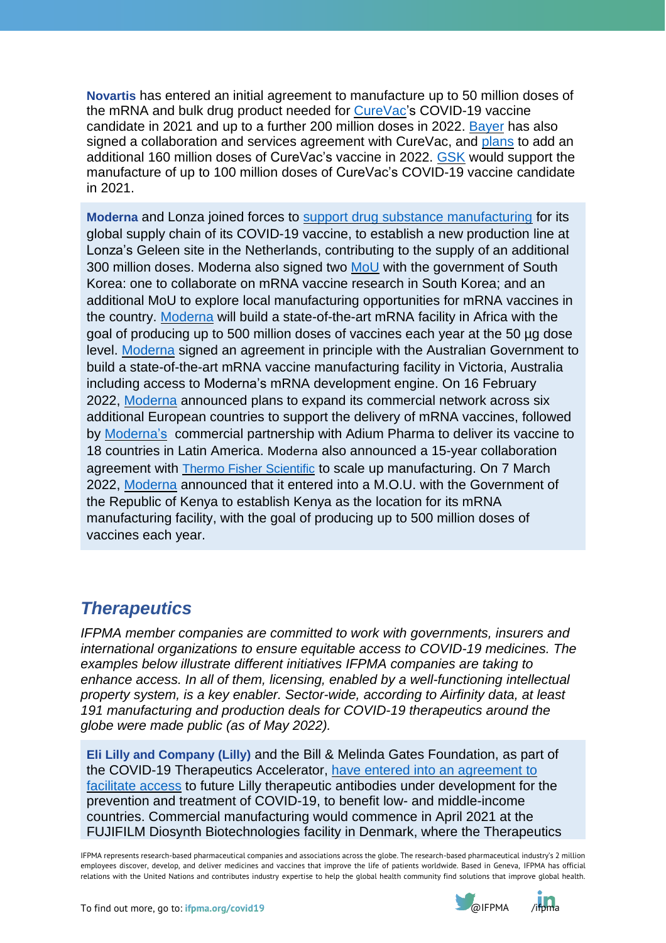**Novartis** has entered an initial agreement to manufacture up to 50 million doses of the mRNA and bulk drug product needed for [CureVac'](https://www.novartis.com/news/media-releases/novartis-signs-initial-agreement-curevac-manufacture-covid-19-vaccine-candidate)s COVID-19 vaccine candidate in 2021 and up to a further 200 million doses in 2022. [Bayer](https://media.bayer.com/baynews/baynews.nsf/id/CureVac-and-Bayer-join-forces-on-COVID-19-vaccine-candidate-CVnCoV?Open&parent=news-overview-category-search-en&ccm=020) has also signed a collaboration and services agreement with CureVac, and [plans](https://media.bayer.com/baynews/baynews.nsf/id/Bayer-to-manufacture-mRNA-vaccine-in-Germany?Open&parent=Presskit-Corona&ccm=001&presskit=1) to add an additional 160 million doses of CureVac's vaccine in 2022. [GSK](https://www.gsk.com/en-gb/media/press-releases/gsk-and-curevac-to-develop-next-generation-mrna-covid-19-vaccines/) would support the manufacture of up to 100 million doses of CureVac's COVID-19 vaccine candidate in 2021.

**Moderna** and Lonza joined forces to support drug substance [manufacturing](https://investors.modernatx.com/news-releases/news-release-details/moderna-announces-new-drug-substance-production-agreement-lonza) for its global supply chain of its COVID-19 vaccine, to establish a new production line at Lonza's Geleen site in the Netherlands, contributing to the supply of an additional 300 million doses. Moderna also signed two [MoU](https://investors.modernatx.com/news-releases/news-release-details/moderna-and-south-korea-explore-collaboration-mrna-vaccines) with the government of South Korea: one to collaborate on mRNA vaccine research in South Korea; and an additional MoU to explore local manufacturing opportunities for mRNA vaccines in the country. [Moderna](https://investors.modernatx.com/news-releases/news-release-details/moderna-build-state-art-mrna-facility-africa-manufacture-500) will build a state-of-the-art mRNA facility in Africa with the goal of producing up to 500 million doses of vaccines each year at the 50 µg dose level. [Moderna](https://investors.modernatx.com/news/news-details/2021/Moderna-and-Australia-Announce-Collaboration-to-Bring-mRNA-Manufacturing-to-Australia/default.aspx) signed an agreement in principle with the Australian Government to build a state-of-the-art mRNA vaccine manufacturing facility in Victoria, Australia including access to Moderna's mRNA development engine. On 16 February 2022, [Moderna](https://investors.modernatx.com/news/news-details/2022/Moderna-Announces-Plan-to-Expand-Commercial-Footprint-in-Europe-Across-Six-Additional-Countries/default.aspx) announced plans to expand its commercial network across six additional European countries to support the delivery of mRNA vaccines, followed by **[Moderna'](https://investors.modernatx.com/news/news-details/2022/Moderna-Expands-Global-Footprint-Through-Commercial-Partnership-with-Adium-in-Latin-America/default.aspx)s** commercial partnership with Adium Pharma to deliver its vaccine to 18 countries in Latin America. [Moderna](https://investors.modernatx.com/news/news-details/2022/Moderna-and-Thermo-Fisher-Scientific-Announce-Long-Term-Strategic-Collaboration/default.aspx) also announced a 15-year collaboration agreement with Thermo Fisher [Scientific](https://investors.modernatx.com/news/news-details/2022/Moderna-and-Thermo-Fisher-Scientific-Announce-Long-Term-Strategic-Collaboration/default.aspx) to scale up manufacturing. On 7 March 2022, [Moderna](https://s29.q4cdn.com/745959723/files/doc_news/Moderna-Announces-Memorandum-of-Understanding-with-the-Government-of-the-Republic-of-Kenya-to-Establish-its-First-mRNA-Manufacturing--800E2.pdf) announced that it entered into a M.O.U. with the Government of the Republic of Kenya to establish Kenya as the location for its mRNA manufacturing facility, with the goal of producing up to 500 million doses of vaccines each year.

## *Therapeutics*

*IFPMA member companies are committed to work with governments, insurers and international organizations to ensure equitable access to COVID-19 medicines. The examples below illustrate different initiatives IFPMA companies are taking to enhance access. In all of them, licensing, enabled by a well-functioning intellectual property system, is a key enabler. Sector-wide, according to Airfinity data, at least 191 manufacturing and production deals for COVID-19 therapeutics around the globe were made public (as of May 2022).*

**Eli Lilly and Company (Lilly)** and the Bill & Melinda Gates Foundation, as part of the COVID-19 Therapeutics Accelerator, have entered into an [agreement](https://investor.lilly.com/news-releases/news-release-details/lilly-announces-arrangement-supply-potential-covid-19-antibody) to [facilitate](https://investor.lilly.com/news-releases/news-release-details/lilly-announces-arrangement-supply-potential-covid-19-antibody) access to future Lilly therapeutic antibodies under development for the prevention and treatment of COVID-19, to benefit low- and middle-income countries. Commercial manufacturing would commence in April 2021 at the FUJIFILM Diosynth Biotechnologies facility in Denmark, where the Therapeutics

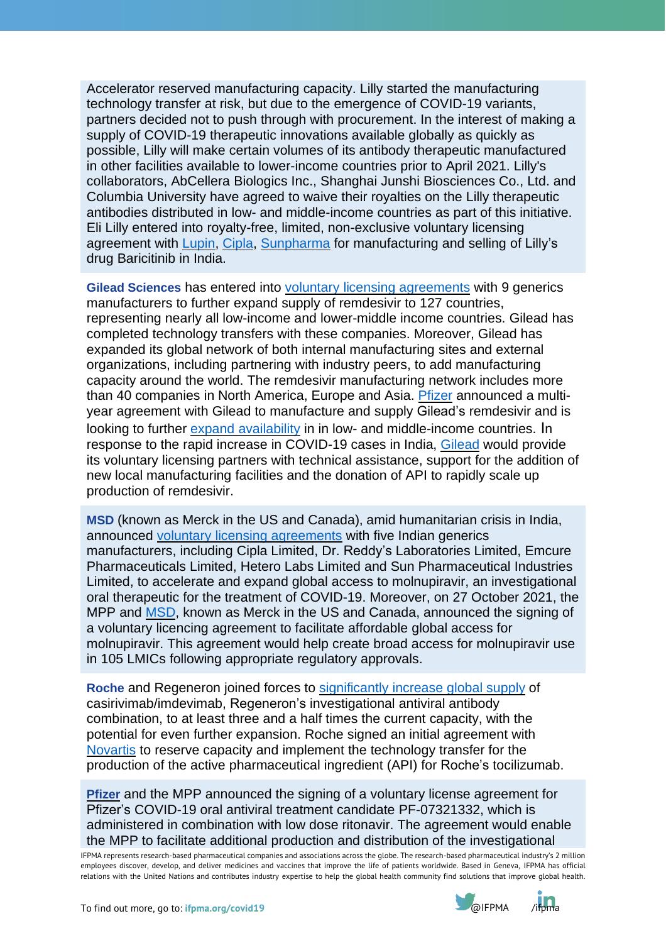Accelerator reserved manufacturing capacity. Lilly started the manufacturing technology transfer at risk, but due to the emergence of COVID-19 variants, partners decided not to push through with procurement. In the interest of making a supply of COVID-19 therapeutic innovations available globally as quickly as possible, Lilly will make certain volumes of its antibody therapeutic manufactured in other facilities available to lower-income countries prior to April 2021. Lilly's collaborators, AbCellera Biologics Inc., Shanghai Junshi Biosciences Co., Ltd. and Columbia University have agreed to waive their royalties on the Lilly therapeutic antibodies distributed in low- and middle-income countries as part of this initiative. Eli Lilly entered into royalty-free, limited, non-exclusive voluntary licensing agreement with [Lupin,](https://www.lupin.com/portfolio/lupin-enters-into-voluntary-licensing-agreement-with-lilly-to-expand-access-for-covid-19-treatment-in-india/) [Cipla,](https://www.cipla.com/press-releases-statements/Cipla-enters-licensing-agreement-Lilly-expand-access-covid-treatment-india) [Sunpharma](https://sunpharma.com/wp-content/uploads/2021/05/Press-Release-Licensing-agreement-with-Eli-Lilly-for-expanding-access-to-Baricitinib.pdf) for manufacturing and selling of Lilly's drug Baricitinib in India.

**Gilead Sciences** has entered into voluntary licensing [agreements](https://www.gilead.com/news-and-press/company-statements/gilead-sciences-update-on-veklury-remdesivir-manufacturing-network) with 9 generics manufacturers to further expand supply of remdesivir to 127 countries, representing nearly all low-income and lower-middle income countries. Gilead has completed technology transfers with these companies. Moreover, Gilead has expanded its global network of both internal manufacturing sites and external organizations, including partnering with industry peers, to add manufacturing capacity around the world. The remdesivir manufacturing network includes more than 40 companies in North America, Europe and Asia. [Pfizer](https://www.pfizer.com/news/press-release/press-release-detail/pfizer-announces-agreement-gilead-manufacture-remdesivir) announced a multiyear agreement with Gilead to manufacture and supply Gilead's remdesivir and is looking to further expand [availability](https://www.gilead.com/news-and-press/press-room/press-releases/2021/4/gilead-sciences-announces-steps-to-expand-availability-of-remdesivir-in-india) in in low- and middle-income countries. In response to the rapid increase in COVID-19 cases in India, [Gilead](https://www.gilead.com/news-and-press/press-room/press-releases/2021/4/gilead-sciences-announces-steps-to-expand-availability-of-remdesivir-in-india) would provide its voluntary licensing partners with technical assistance, support for the addition of new local manufacturing facilities and the donation of API to rapidly scale up production of remdesivir.

**MSD** (known as Merck in the US and Canada), amid humanitarian crisis in India, announced voluntary licensing [agreements](https://www.businesswire.com/news/home/20210427005590/en/) with five Indian generics manufacturers, including Cipla Limited, Dr. Reddy's Laboratories Limited, Emcure Pharmaceuticals Limited, Hetero Labs Limited and Sun Pharmaceutical Industries Limited, to accelerate and expand global access to molnupiravir, an investigational oral therapeutic for the treatment of COVID-19. Moreover, on 27 October 2021, the MPP and [MSD,](https://www.msd.com/news/the-medicines-patent-pool-mpp-and-msd-enter-into-license-agreement-for-molnupiravir-an-investigational-oral-antiviral-covid-19-medicine-to-increase-broad-access-in-low-and-middle-income-countries/) known as Merck in the US and Canada, announced the signing of a voluntary licencing agreement to facilitate affordable global access for molnupiravir. This agreement would help create broad access for molnupiravir use in 105 LMICs following appropriate regulatory approvals.

**Roche** and Regeneron joined forces to [significantly](https://www.roche.com/media/releases/med-cor-2020-08-19.htm) increase global supply of casirivimab/imdevimab, Regeneron's investigational antiviral antibody combination, to at least three and a half times the current capacity, with the potential for even further expansion. Roche signed an initial agreement with [Novartis](https://www.novartis.com/news/media-releases/novartis-signs-initial-agreement-reserve-capacity-and-implement-technology-transfer-production-active-pharmaceutical-ingredient-roche%27s-actemraroactemra) to reserve capacity and implement the technology transfer for the production of the active pharmaceutical ingredient (API) for Roche's tocilizumab.

**[Pfizer](https://investors.pfizer.com/investor-news/press-release-details/2021/Pfizer-and-The-Medicines-Patent-Pool-MPP-Sign-Licensing-Agreement-for-COVID-19-Oral-Antiviral-Treatment-Candidate-to-Expand-Access-in-Low--and-Middle-Income-Countries/default.aspx)** and the MPP announced the signing of a voluntary license agreement for Pfizer's COVID-19 oral antiviral treatment candidate PF-07321332, which is administered in combination with low dose ritonavir. The agreement would enable the MPP to facilitate additional production and distribution of the investigational